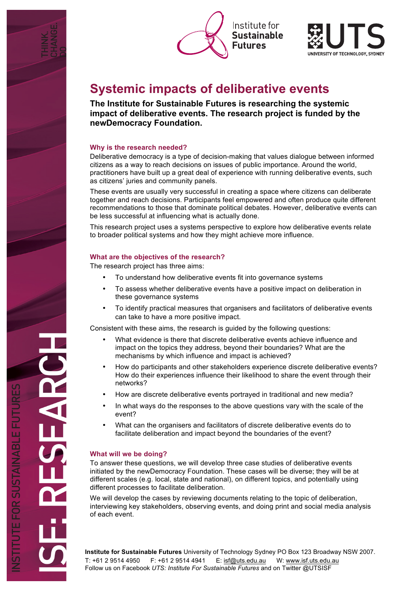





# **Systemic impacts of deliberative events**

**The Institute for Sustainable Futures is researching the systemic impact of deliberative events. The research project is funded by the newDemocracy Foundation.**

# **Why is the research needed?**

Deliberative democracy is a type of decision-making that values dialogue between informed citizens as a way to reach decisions on issues of public importance. Around the world, practitioners have built up a great deal of experience with running deliberative events, such as citizens' juries and community panels.

These events are usually very successful in creating a space where citizens can deliberate together and reach decisions. Participants feel empowered and often produce quite different recommendations to those that dominate political debates. However, deliberative events can be less successful at influencing what is actually done.

This research project uses a systems perspective to explore how deliberative events relate to broader political systems and how they might achieve more influence.

## **What are the objectives of the research?**

The research project has three aims:

- To understand how deliberative events fit into governance systems
- To assess whether deliberative events have a positive impact on deliberation in these governance systems
- To identify practical measures that organisers and facilitators of deliberative events can take to have a more positive impact.

Consistent with these aims, the research is guided by the following questions:

- What evidence is there that discrete deliberative events achieve influence and impact on the topics they address, beyond their boundaries? What are the mechanisms by which influence and impact is achieved?
- How do participants and other stakeholders experience discrete deliberative events? How do their experiences influence their likelihood to share the event through their networks?
- How are discrete deliberative events portrayed in traditional and new media?
- In what ways do the responses to the above questions vary with the scale of the event?
- What can the organisers and facilitators of discrete deliberative events do to facilitate deliberation and impact beyond the boundaries of the event?

# **What will we be doing?**

To answer these questions, we will develop three case studies of deliberative events initiated by the newDemocracy Foundation. These cases will be diverse; they will be at different scales (e.g. local, state and national), on different topics, and potentially using different processes to facilitate deliberation.

We will develop the cases by reviewing documents relating to the topic of deliberation. interviewing key stakeholders, observing events, and doing print and social media analysis of each event.

**Institute for Sustainable Futures** University of Technology Sydney PO Box 123 Broadway NSW 2007. T: +61 2 9514 4950 F: +61 2 9514 4941 E: isf@uts.edu.au W: www.isf.uts.edu.au Follow us on Facebook *UTS: Institute For Sustainable Futures* and on Twitter @UTSISF